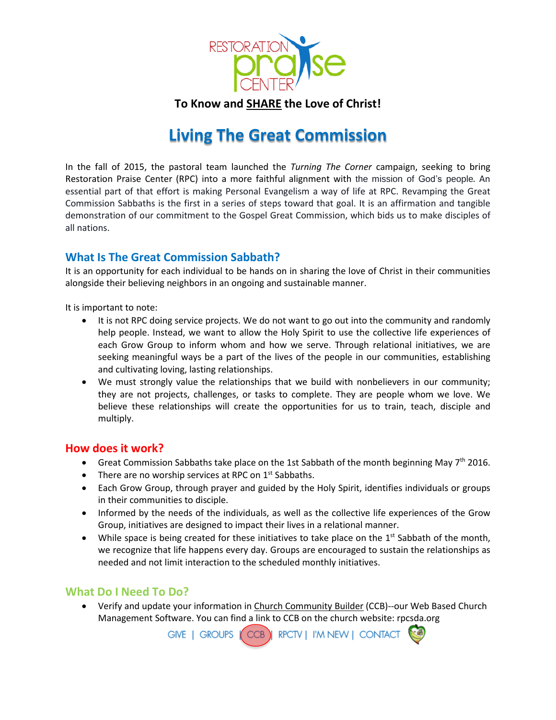

**To Know and SHARE the Love of Christ!**

## **Living The Great Commission**

In the fall of 2015, the pastoral team launched the *Turning The Corner* campaign, seeking to bring Restoration Praise Center (RPC) into a more faithful alignment with the mission of God's people. An essential part of that effort is making Personal Evangelism a way of life at RPC. Revamping the Great Commission Sabbaths is the first in a series of steps toward that goal. It is an affirmation and tangible demonstration of our commitment to the Gospel Great Commission, which bids us to make disciples of all nations.

## **What Is The Great Commission Sabbath?**

It is an opportunity for each individual to be hands on in sharing the love of Christ in their communities alongside their believing neighbors in an ongoing and sustainable manner.

It is important to note:

- It is not RPC doing service projects. We do not want to go out into the community and randomly help people. Instead, we want to allow the Holy Spirit to use the collective life experiences of each Grow Group to inform whom and how we serve. Through relational initiatives, we are seeking meaningful ways be a part of the lives of the people in our communities, establishing and cultivating loving, lasting relationships.
- We must strongly value the relationships that we build with nonbelievers in our community; they are not projects, challenges, or tasks to complete. They are people whom we love. We believe these relationships will create the opportunities for us to train, teach, disciple and multiply.

## **How does it work?**

- Great Commission Sabbaths take place on the 1st Sabbath of the month beginning May  $7<sup>th</sup>$  2016.
- There are no worship services at RPC on  $1<sup>st</sup>$  Sabbaths.
- Each Grow Group, through prayer and guided by the Holy Spirit, identifies individuals or groups in their communities to disciple.
- Informed by the needs of the individuals, as well as the collective life experiences of the Grow Group, initiatives are designed to impact their lives in a relational manner.
- $\bullet$  While space is being created for these initiatives to take place on the 1<sup>st</sup> Sabbath of the month, we recognize that life happens every day. Groups are encouraged to sustain the relationships as needed and not limit interaction to the scheduled monthly initiatives.

## **What Do I Need To Do?**

 Verify and update your information in Church [Community](https://rpcsda.ccbchurch.com/) Builder (CCB)--our Web Based Church Management Software. You can find a link to CCB on the church website: rpcsda.org<br>GIVE | GROUPS (CCB) RPCTV | I'M NEW | CONTACT